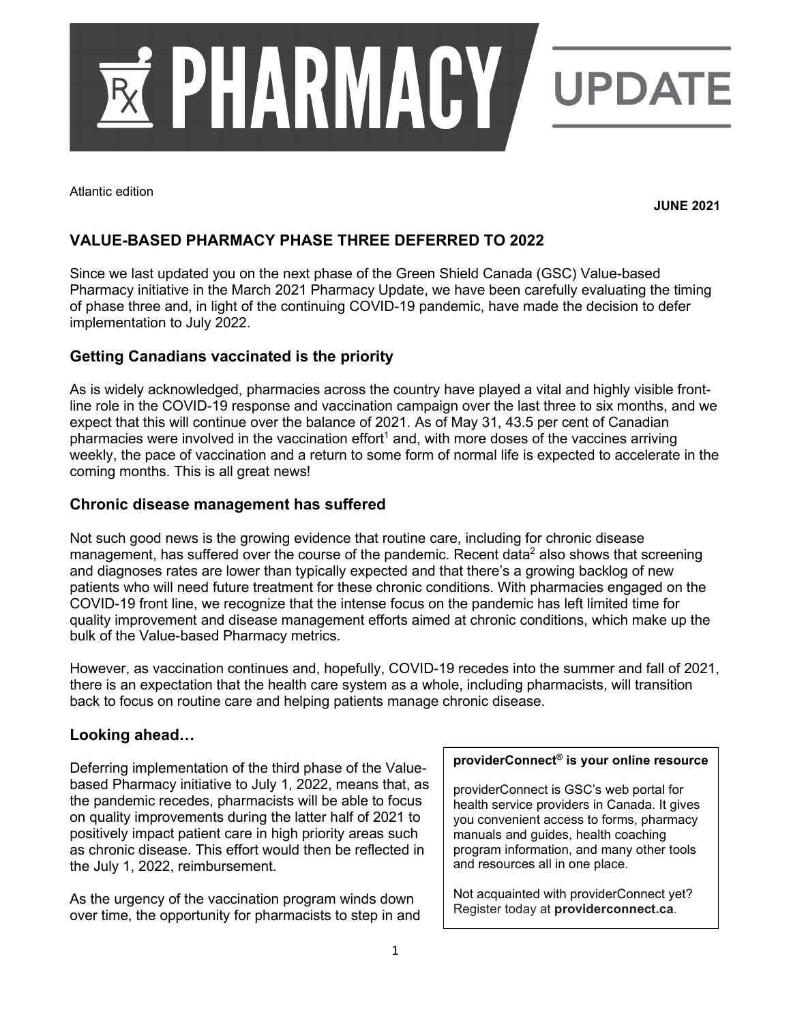

Atlantic edition

**JUNE 2021**

# **VALUE-BASED PHARMACY PHASE THREE DEFERRED TO 2022**

Since we last updated you on the next phase of the Green Shield Canada (GSC) Value-based Pharmacy initiative in the March 2021 Pharmacy Update, we have been carefully evaluating the timing of phase three and, in light of the continuing COVID-19 pandemic, have made the decision to defer implementation to July 2022.

## **Getting Canadians vaccinated is the priority**

As is widely acknowledged, pharmacies across the country have played a vital and highly visible frontline role in the COVID-19 response and vaccination campaign over the last three to six months, and we expect that this will continue over the balance of 2021. As of May 31, 43.5 per cent of Canadian pharmacies were involved in the vaccination effort<sup>1</sup> and, with more doses of the vaccines arriving weekly, the pace of vaccination and a return to some form of normal life is expected to accelerate in the coming months. This is all great news!

#### **Chronic disease management has suffered**

Not such good news is the growing evidence that routine care, including for chronic disease management, has suffered over the course of the pandemic. Recent data<sup>2</sup> also shows that screening and diagnoses rates are lower than typically expected and that there's a growing backlog of new patients who will need future treatment for these chronic conditions. With pharmacies engaged on the COVID-19 front line, we recognize that the intense focus on the pandemic has left limited time for quality improvement and disease management efforts aimed at chronic conditions, which make up the bulk of the Value-based Pharmacy metrics.

However, as vaccination continues and, hopefully, COVID-19 recedes into the summer and fall of 2021, there is an expectation that the health care system as a whole, including pharmacists, will transition back to focus on routine care and helping patients manage chronic disease.

#### **Looking ahead…**

Deferring implementation of the third phase of the Valuebased Pharmacy initiative to July 1, 2022, means that, as the pandemic recedes, pharmacists will be able to focus on quality improvements during the latter half of 2021 to positively impact patient care in high priority areas such as chronic disease. This effort would then be reflected in the July 1, 2022, reimbursement.

As the urgency of the vaccination program winds down over time, the opportunity for pharmacists to step in and

#### **providerConnect® is your online resource**

providerConnect is GSC's web portal for health service providers in Canada. It gives you convenient access to forms, pharmacy manuals and guides, health coaching program information, and many other tools and resources all in one place.

Not acquainted with providerConnect yet? Register today at **providerconnect.ca**.